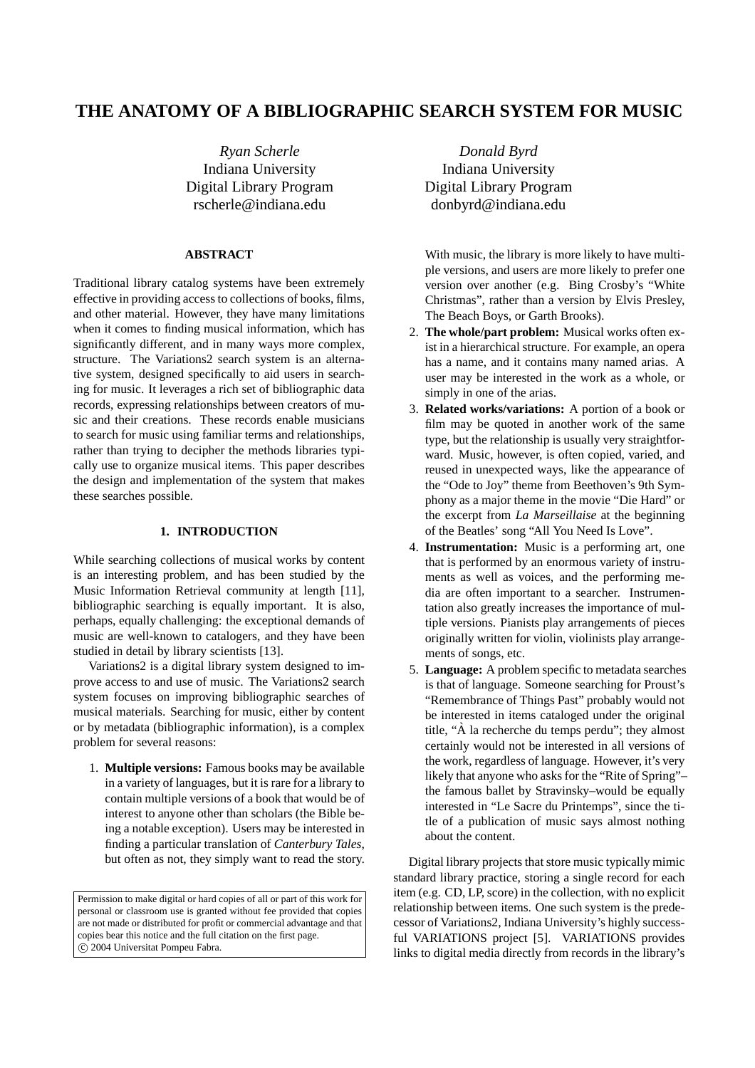# **THE ANATOMY OF A BIBLIOGRAPHIC SEARCH SYSTEM FOR MUSIC**

*Ryan Scherle* Indiana University Digital Library Program rscherle@indiana.edu

# **ABSTRACT**

Traditional library catalog systems have been extremely effective in providing access to collections of books, films, and other material. However, they have many limitations when it comes to finding musical information, which has significantly different, and in many ways more complex, structure. The Variations2 search system is an alternative system, designed specifically to aid users in searching for music. It leverages a rich set of bibliographic data records, expressing relationships between creators of music and their creations. These records enable musicians to search for music using familiar terms and relationships, rather than trying to decipher the methods libraries typically use to organize musical items. This paper describes the design and implementation of the system that makes these searches possible.

# **1. INTRODUCTION**

While searching collections of musical works by content is an interesting problem, and has been studied by the Music Information Retrieval community at length [11], bibliographic searching is equally important. It is also, perhaps, equally challenging: the exceptional demands of music are well-known to catalogers, and they have been studied in detail by library scientists [13].

Variations2 is a digital library system designed to improve access to and use of music. The Variations2 search system focuses on improving bibliographic searches of musical materials. Searching for music, either by content or by metadata (bibliographic information), is a complex problem for several reasons:

1. **Multiple versions:** Famous books may be available in a variety of languages, but it is rare for a library to contain multiple versions of a book that would be of interest to anyone other than scholars (the Bible being a notable exception). Users may be interested in finding a particular translation of *Canterbury Tales*, but often as not, they simply want to read the story.

Permission to make digital or hard copies of all or part of this work for personal or classroom use is granted without fee provided that copies are not made or distributed for profit or commercial advantage and that copies bear this notice and the full citation on the first page. °c 2004 Universitat Pompeu Fabra.

*Donald Byrd* Indiana University Digital Library Program donbyrd@indiana.edu

With music, the library is more likely to have multiple versions, and users are more likely to prefer one version over another (e.g. Bing Crosby's "White Christmas", rather than a version by Elvis Presley, The Beach Boys, or Garth Brooks).

- 2. **The whole/part problem:** Musical works often exist in a hierarchical structure. For example, an opera has a name, and it contains many named arias. A user may be interested in the work as a whole, or simply in one of the arias.
- 3. **Related works/variations:** A portion of a book or film may be quoted in another work of the same type, but the relationship is usually very straightforward. Music, however, is often copied, varied, and reused in unexpected ways, like the appearance of the "Ode to Joy" theme from Beethoven's 9th Symphony as a major theme in the movie "Die Hard" or the excerpt from *La Marseillaise* at the beginning of the Beatles' song "All You Need Is Love".
- 4. **Instrumentation:** Music is a performing art, one that is performed by an enormous variety of instruments as well as voices, and the performing media are often important to a searcher. Instrumentation also greatly increases the importance of multiple versions. Pianists play arrangements of pieces originally written for violin, violinists play arrangements of songs, etc.
- 5. **Language:** A problem specific to metadata searches is that of language. Someone searching for Proust's "Remembrance of Things Past" probably would not be interested in items cataloged under the original title, " $\hat{A}$  la recherche du temps perdu"; they almost certainly would not be interested in all versions of the work, regardless of language. However, it's very likely that anyone who asks for the "Rite of Spring"– the famous ballet by Stravinsky–would be equally interested in "Le Sacre du Printemps", since the title of a publication of music says almost nothing about the content.

Digital library projects that store music typically mimic standard library practice, storing a single record for each item (e.g. CD, LP, score) in the collection, with no explicit relationship between items. One such system is the predecessor of Variations2, Indiana University's highly successful VARIATIONS project [5]. VARIATIONS provides links to digital media directly from records in the library's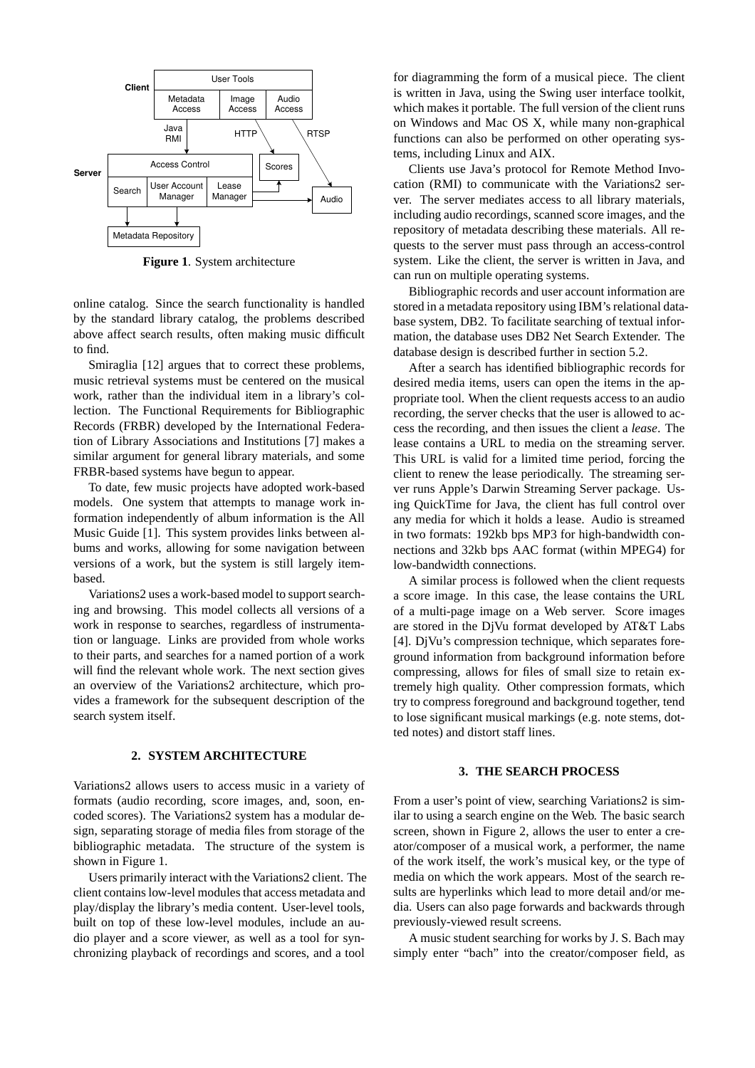

**Figure 1**. System architecture

online catalog. Since the search functionality is handled by the standard library catalog, the problems described above affect search results, often making music difficult to find.

Smiraglia [12] argues that to correct these problems, music retrieval systems must be centered on the musical work, rather than the individual item in a library's collection. The Functional Requirements for Bibliographic Records (FRBR) developed by the International Federation of Library Associations and Institutions [7] makes a similar argument for general library materials, and some FRBR-based systems have begun to appear.

To date, few music projects have adopted work-based models. One system that attempts to manage work information independently of album information is the All Music Guide [1]. This system provides links between albums and works, allowing for some navigation between versions of a work, but the system is still largely itembased.

Variations2 uses a work-based model to support searching and browsing. This model collects all versions of a work in response to searches, regardless of instrumentation or language. Links are provided from whole works to their parts, and searches for a named portion of a work will find the relevant whole work. The next section gives an overview of the Variations2 architecture, which provides a framework for the subsequent description of the search system itself.

# **2. SYSTEM ARCHITECTURE**

Variations2 allows users to access music in a variety of formats (audio recording, score images, and, soon, encoded scores). The Variations2 system has a modular design, separating storage of media files from storage of the bibliographic metadata. The structure of the system is shown in Figure 1.

Users primarily interact with the Variations2 client. The client contains low-level modules that access metadata and play/display the library's media content. User-level tools, built on top of these low-level modules, include an audio player and a score viewer, as well as a tool for synchronizing playback of recordings and scores, and a tool

for diagramming the form of a musical piece. The client is written in Java, using the Swing user interface toolkit, which makes it portable. The full version of the client runs on Windows and Mac OS X, while many non-graphical functions can also be performed on other operating systems, including Linux and AIX.

Clients use Java's protocol for Remote Method Invocation (RMI) to communicate with the Variations2 server. The server mediates access to all library materials, including audio recordings, scanned score images, and the repository of metadata describing these materials. All requests to the server must pass through an access-control system. Like the client, the server is written in Java, and can run on multiple operating systems.

Bibliographic records and user account information are stored in a metadata repository using IBM's relational database system, DB2. To facilitate searching of textual information, the database uses DB2 Net Search Extender. The database design is described further in section 5.2.

After a search has identified bibliographic records for desired media items, users can open the items in the appropriate tool. When the client requests access to an audio recording, the server checks that the user is allowed to access the recording, and then issues the client a *lease*. The lease contains a URL to media on the streaming server. This URL is valid for a limited time period, forcing the client to renew the lease periodically. The streaming server runs Apple's Darwin Streaming Server package. Using QuickTime for Java, the client has full control over any media for which it holds a lease. Audio is streamed in two formats: 192kb bps MP3 for high-bandwidth connections and 32kb bps AAC format (within MPEG4) for low-bandwidth connections.

A similar process is followed when the client requests a score image. In this case, the lease contains the URL of a multi-page image on a Web server. Score images are stored in the DjVu format developed by AT&T Labs [4]. DjVu's compression technique, which separates foreground information from background information before compressing, allows for files of small size to retain extremely high quality. Other compression formats, which try to compress foreground and background together, tend to lose significant musical markings (e.g. note stems, dotted notes) and distort staff lines.

# **3. THE SEARCH PROCESS**

From a user's point of view, searching Variations2 is similar to using a search engine on the Web. The basic search screen, shown in Figure 2, allows the user to enter a creator/composer of a musical work, a performer, the name of the work itself, the work's musical key, or the type of media on which the work appears. Most of the search results are hyperlinks which lead to more detail and/or media. Users can also page forwards and backwards through previously-viewed result screens.

A music student searching for works by J. S. Bach may simply enter "bach" into the creator/composer field, as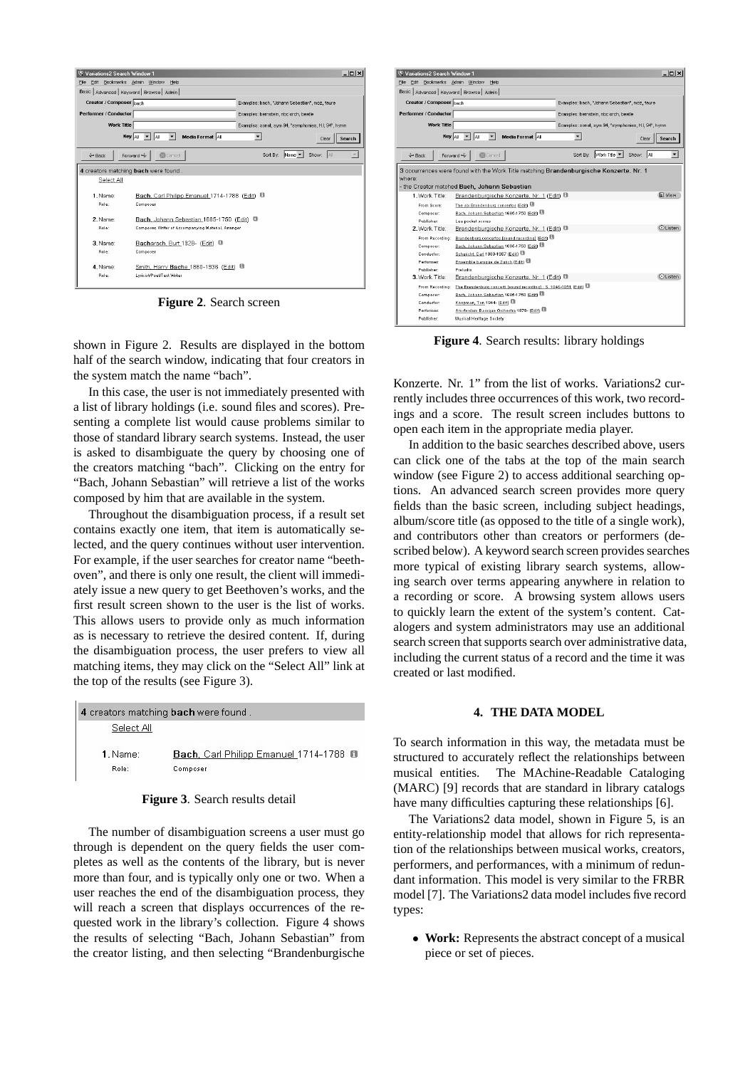| Variations2 Search Window 1                 |                                                     |                                                      | $  $ $\Box$   $\times$ |
|---------------------------------------------|-----------------------------------------------------|------------------------------------------------------|------------------------|
| Edit Bookmarks Admin Window<br>File         | Help                                                |                                                      |                        |
| Basic   Advanced   Keyword   Browse   Admin |                                                     |                                                      |                        |
| Creator / Composer bach                     |                                                     | Examples: bach, "Johann Sebastian", moz, faure       |                        |
| Performer / Conductor                       |                                                     | Examples: bernstein, nbc orch, beatle                |                        |
| <b>Work Title</b>                           |                                                     | Examples: sonat, sym 94, "symphonies, H.I, 94", hymn |                        |
|                                             |                                                     |                                                      |                        |
| Key All                                     | Media Format 4<br>lai                               | $\overline{\phantom{0}}$                             | Search<br>Clear        |
| $\leftarrow$ Back                           | <b>Cancel</b><br>Forward $\Rightarrow$              | Sort By:<br>$Name \nightharpoonup$                   | Show: 4                |
|                                             |                                                     |                                                      |                        |
| 4 creators matching bach were found.        |                                                     |                                                      |                        |
| Select All                                  |                                                     |                                                      |                        |
|                                             |                                                     |                                                      |                        |
| 1 Name:                                     | Bach, Carl Philipp Emanuel 1714-1788 (Edit) 0       |                                                      |                        |
| Role:                                       | Composer                                            |                                                      |                        |
| 2 Name:                                     | Bach, Johann Sebastian 1685-1750 (Edit)             | a                                                    |                        |
| Role:                                       | Composer, Writer of Accompanying Material, Arranger |                                                      |                        |
|                                             |                                                     |                                                      |                        |
| 3. Name:                                    | Bacharach, Burt 1928- (Edit) <sup>8</sup>           |                                                      |                        |
| Role:                                       | Composer                                            |                                                      |                        |
| 4 Name:                                     | Smith, Harry Bache 1860-1936 (Edit) <sup>1</sup>    |                                                      |                        |
| Role:                                       | Lyricist/Poet/Text Writer                           |                                                      |                        |
|                                             |                                                     |                                                      |                        |
|                                             |                                                     |                                                      |                        |

**Figure 2**. Search screen

shown in Figure 2. Results are displayed in the bottom half of the search window, indicating that four creators in the system match the name "bach".

In this case, the user is not immediately presented with a list of library holdings (i.e. sound files and scores). Presenting a complete list would cause problems similar to those of standard library search systems. Instead, the user is asked to disambiguate the query by choosing one of the creators matching "bach". Clicking on the entry for "Bach, Johann Sebastian" will retrieve a list of the works composed by him that are available in the system.

Throughout the disambiguation process, if a result set contains exactly one item, that item is automatically selected, and the query continues without user intervention. For example, if the user searches for creator name "beethoven", and there is only one result, the client will immediately issue a new query to get Beethoven's works, and the first result screen shown to the user is the list of works. This allows users to provide only as much information as is necessary to retrieve the desired content. If, during the disambiguation process, the user prefers to view all matching items, they may click on the "Select All" link at the top of the results (see Figure 3).

| 4 creators matching bach were found. |                                                    |
|--------------------------------------|----------------------------------------------------|
| Select All                           |                                                    |
| $1.$ Name:<br>Role:                  | Bach, Carl Philipp Emanuel 1714-1788 0<br>Composer |

# **Figure 3**. Search results detail

The number of disambiguation screens a user must go through is dependent on the query fields the user completes as well as the contents of the library, but is never more than four, and is typically only one or two. When a user reaches the end of the disambiguation process, they will reach a screen that displays occurrences of the requested work in the library's collection. Figure 4 shows the results of selecting "Bach, Johann Sebastian" from the creator listing, and then selecting "Brandenburgische

| W Variations2 Search Window 1                                                                                                                    | $  $ $   \times$                                                         |  |
|--------------------------------------------------------------------------------------------------------------------------------------------------|--------------------------------------------------------------------------|--|
| Edit Bookmarks Admin Window<br>File                                                                                                              | Help                                                                     |  |
| Basic   Advanced   Keyword   Browse   Admin                                                                                                      |                                                                          |  |
| Creator / Composer bach                                                                                                                          | Examples: bach, "Johann Sebastian", moz, faure                           |  |
| Performer / Conductor                                                                                                                            | Examples: bernstein, nbc orch, beatle                                    |  |
|                                                                                                                                                  |                                                                          |  |
| <b>Work Title</b>                                                                                                                                | Examples: sonat, sym 94, "symphonies, H.I, 94", hymn                     |  |
| Key All                                                                                                                                          | Media Format All<br>las<br>Search<br>Clear                               |  |
| 中 Back                                                                                                                                           | Sort By: Work Title<br>Show: All<br><b>Cancel</b><br>Forward <           |  |
| 3 occurrences were found with the Work Title matching Brandenburgische Konzerte. Nr. 1<br>where:<br>- the Creator matched Bach, Johann Sebastian |                                                                          |  |
| 1. Work Title:                                                                                                                                   | <b>国 View</b><br>Brandenburgische Konzerte. Nr. 1 (Edit) <sup>(1)</sup>  |  |
| From Score:                                                                                                                                      | The six Brandenburg concertos (Edit)                                     |  |
| Composer:                                                                                                                                        | Bach, Johann Sebastian 1685-1750 (Edit)                                  |  |
| Publisher                                                                                                                                        | Lea pocket scores                                                        |  |
| 2. Work Title:                                                                                                                                   | <b>OListen</b><br>Brandenburgische Konzerte, Nr. 1 (Edit) <sup>(1)</sup> |  |
| From Recording:                                                                                                                                  | Brandenburg concertos [sound recording] (Edit)                           |  |
| Composer:                                                                                                                                        | Bach, Johann Sebastian 1685-1750 (Edit)                                  |  |
| Conductor                                                                                                                                        | Schuricht, Carl 1880-1967 (Edit) 图                                       |  |
| Performer:                                                                                                                                       | Ensemble baroque de Zurich (Edit)                                        |  |
| Publisher<br>3. Work Title:                                                                                                                      | Pretudio<br><b>OListen</b>                                               |  |
|                                                                                                                                                  | Brandenburgische Konzerte. Nr. 1 (Edit) <sup>®</sup>                     |  |
| From Recording:                                                                                                                                  | The Brandenburg concerti [sound recording] : S. 1046-1051 (Edit)         |  |
| Composer:                                                                                                                                        | Bach, Johann Sebastian 1685-1750 (Edit)                                  |  |
| Conductor                                                                                                                                        | Koopman, Ton 1944- (Edit) 图                                              |  |
| Performer:                                                                                                                                       | Amsterdam Baroque Orchestra 1979- (Edit)                                 |  |
| Publisher:                                                                                                                                       | Musical Heritage Society                                                 |  |

**Figure 4**. Search results: library holdings

Konzerte. Nr. 1" from the list of works. Variations2 currently includes three occurrences of this work, two recordings and a score. The result screen includes buttons to open each item in the appropriate media player.

In addition to the basic searches described above, users can click one of the tabs at the top of the main search window (see Figure 2) to access additional searching options. An advanced search screen provides more query fields than the basic screen, including subject headings, album/score title (as opposed to the title of a single work), and contributors other than creators or performers (described below). A keyword search screen provides searches more typical of existing library search systems, allowing search over terms appearing anywhere in relation to a recording or score. A browsing system allows users to quickly learn the extent of the system's content. Catalogers and system administrators may use an additional search screen that supports search over administrative data, including the current status of a record and the time it was created or last modified.

# **4. THE DATA MODEL**

To search information in this way, the metadata must be structured to accurately reflect the relationships between musical entities. The MAchine-Readable Cataloging (MARC) [9] records that are standard in library catalogs have many difficulties capturing these relationships [6].

The Variations2 data model, shown in Figure 5, is an entity-relationship model that allows for rich representation of the relationships between musical works, creators, performers, and performances, with a minimum of redundant information. This model is very similar to the FRBR model [7]. The Variations2 data model includes five record types:

• **Work:** Represents the abstract concept of a musical piece or set of pieces.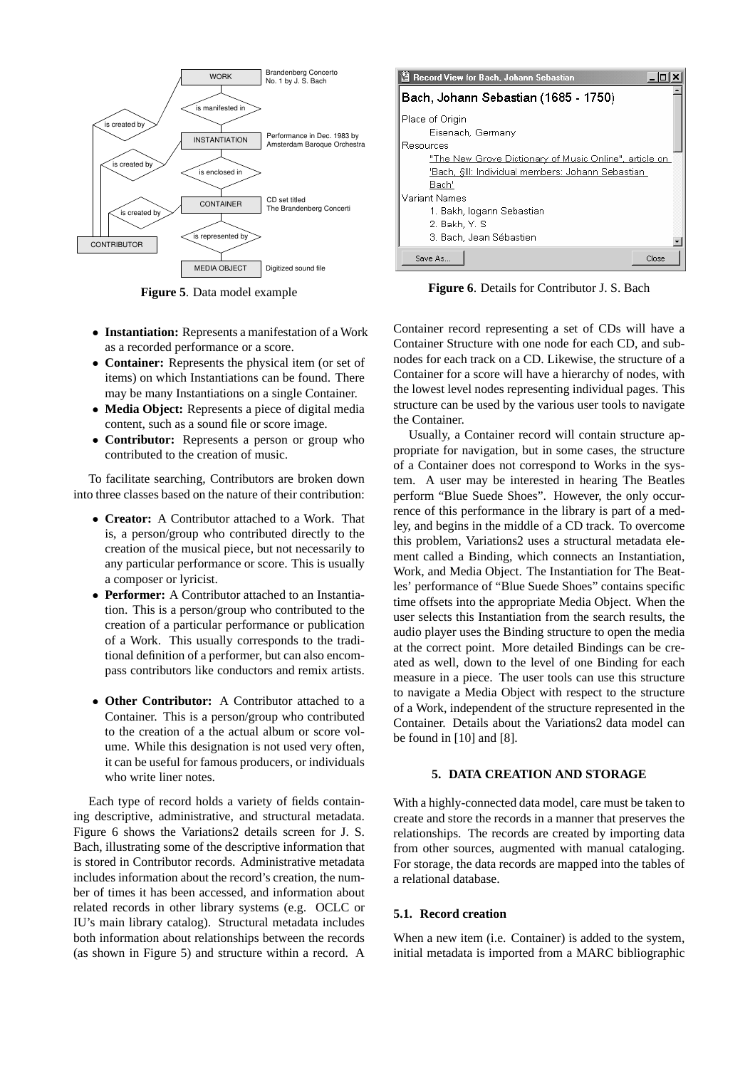

**Figure 5**. Data model example

- **Instantiation:** Represents a manifestation of a Work as a recorded performance or a score.
- **Container:** Represents the physical item (or set of items) on which Instantiations can be found. There may be many Instantiations on a single Container.
- **Media Object:** Represents a piece of digital media content, such as a sound file or score image.
- **Contributor:** Represents a person or group who contributed to the creation of music.

To facilitate searching, Contributors are broken down into three classes based on the nature of their contribution:

- **Creator:** A Contributor attached to a Work. That is, a person/group who contributed directly to the creation of the musical piece, but not necessarily to any particular performance or score. This is usually a composer or lyricist.
- **Performer:** A Contributor attached to an Instantiation. This is a person/group who contributed to the creation of a particular performance or publication of a Work. This usually corresponds to the traditional definition of a performer, but can also encompass contributors like conductors and remix artists.
- **Other Contributor:** A Contributor attached to a Container. This is a person/group who contributed to the creation of a the actual album or score volume. While this designation is not used very often, it can be useful for famous producers, or individuals who write liner notes.

Each type of record holds a variety of fields containing descriptive, administrative, and structural metadata. Figure 6 shows the Variations2 details screen for J. S. Bach, illustrating some of the descriptive information that is stored in Contributor records. Administrative metadata includes information about the record's creation, the number of times it has been accessed, and information about related records in other library systems (e.g. OCLC or IU's main library catalog). Structural metadata includes both information about relationships between the records (as shown in Figure 5) and structure within a record. A

| Record View for Bach, Johann Sebastian                 |  |  |
|--------------------------------------------------------|--|--|
| Bach, Johann Sebastian (1685 - 1750)                   |  |  |
| Place of Origin                                        |  |  |
| Eisenach, Germany                                      |  |  |
| Resources                                              |  |  |
| "The New Grove Dictionary of Music Online", article on |  |  |
| 'Bach, §III: Individual members: Johann Sebastian      |  |  |
| Bach'                                                  |  |  |
| Variant Names                                          |  |  |
| 1. Bakh, logann Sebastian                              |  |  |
| 2. Bakh, Y. S                                          |  |  |
| 3. Bach, Jean Sébastien                                |  |  |
| Save As<br>Close                                       |  |  |

**Figure 6**. Details for Contributor J. S. Bach

Container record representing a set of CDs will have a Container Structure with one node for each CD, and subnodes for each track on a CD. Likewise, the structure of a Container for a score will have a hierarchy of nodes, with the lowest level nodes representing individual pages. This structure can be used by the various user tools to navigate the Container.

Usually, a Container record will contain structure appropriate for navigation, but in some cases, the structure of a Container does not correspond to Works in the system. A user may be interested in hearing The Beatles perform "Blue Suede Shoes". However, the only occurrence of this performance in the library is part of a medley, and begins in the middle of a CD track. To overcome this problem, Variations2 uses a structural metadata element called a Binding, which connects an Instantiation, Work, and Media Object. The Instantiation for The Beatles' performance of "Blue Suede Shoes" contains specific time offsets into the appropriate Media Object. When the user selects this Instantiation from the search results, the audio player uses the Binding structure to open the media at the correct point. More detailed Bindings can be created as well, down to the level of one Binding for each measure in a piece. The user tools can use this structure to navigate a Media Object with respect to the structure of a Work, independent of the structure represented in the Container. Details about the Variations2 data model can be found in [10] and [8].

#### **5. DATA CREATION AND STORAGE**

With a highly-connected data model, care must be taken to create and store the records in a manner that preserves the relationships. The records are created by importing data from other sources, augmented with manual cataloging. For storage, the data records are mapped into the tables of a relational database.

# **5.1. Record creation**

When a new item (i.e. Container) is added to the system, initial metadata is imported from a MARC bibliographic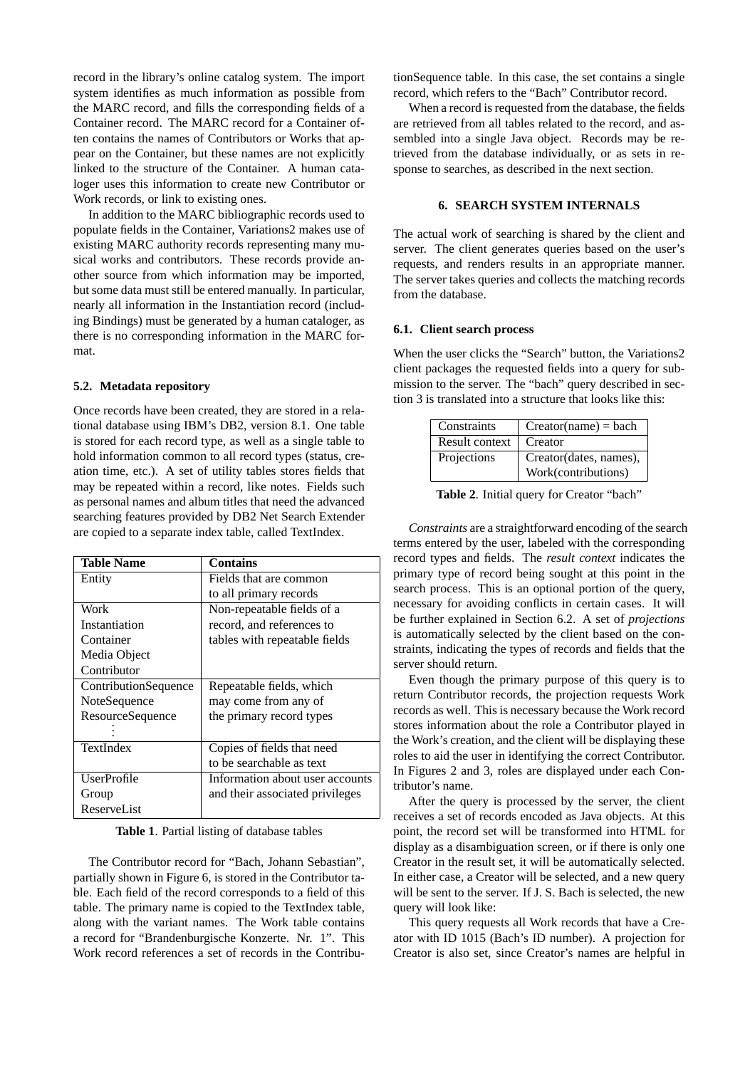record in the library's online catalog system. The import system identifies as much information as possible from the MARC record, and fills the corresponding fields of a Container record. The MARC record for a Container often contains the names of Contributors or Works that appear on the Container, but these names are not explicitly linked to the structure of the Container. A human cataloger uses this information to create new Contributor or Work records, or link to existing ones.

In addition to the MARC bibliographic records used to populate fields in the Container, Variations2 makes use of existing MARC authority records representing many musical works and contributors. These records provide another source from which information may be imported, but some data must still be entered manually. In particular, nearly all information in the Instantiation record (including Bindings) must be generated by a human cataloger, as there is no corresponding information in the MARC format.

#### **5.2. Metadata repository**

Once records have been created, they are stored in a relational database using IBM's DB2, version 8.1. One table is stored for each record type, as well as a single table to hold information common to all record types (status, creation time, etc.). A set of utility tables stores fields that may be repeated within a record, like notes. Fields such as personal names and album titles that need the advanced searching features provided by DB2 Net Search Extender are copied to a separate index table, called TextIndex.

| Table Name           | <b>Contains</b>                 |
|----------------------|---------------------------------|
| Entity               | Fields that are common          |
|                      | to all primary records          |
| Work                 | Non-repeatable fields of a      |
| Instantiation        | record, and references to       |
| Container            | tables with repeatable fields   |
| Media Object         |                                 |
| Contributor          |                                 |
| ContributionSequence | Repeatable fields, which        |
| NoteSequence         | may come from any of            |
| ResourceSequence     | the primary record types        |
|                      |                                 |
| TextIndex            | Copies of fields that need      |
|                      | to be searchable as text        |
| <b>UserProfile</b>   | Information about user accounts |
| Group                | and their associated privileges |
| ReserveList          |                                 |

**Table 1**. Partial listing of database tables

The Contributor record for "Bach, Johann Sebastian", partially shown in Figure 6, is stored in the Contributor table. Each field of the record corresponds to a field of this table. The primary name is copied to the TextIndex table, along with the variant names. The Work table contains a record for "Brandenburgische Konzerte. Nr. 1". This Work record references a set of records in the ContributionSequence table. In this case, the set contains a single record, which refers to the "Bach" Contributor record.

When a record is requested from the database, the fields are retrieved from all tables related to the record, and assembled into a single Java object. Records may be retrieved from the database individually, or as sets in response to searches, as described in the next section.

# **6. SEARCH SYSTEM INTERNALS**

The actual work of searching is shared by the client and server. The client generates queries based on the user's requests, and renders results in an appropriate manner. The server takes queries and collects the matching records from the database.

#### **6.1. Client search process**

When the user clicks the "Search" button, the Variations2 client packages the requested fields into a query for submission to the server. The "bach" query described in section 3 is translated into a structure that looks like this:

| Constraints           | $Create(name) = back$  |
|-----------------------|------------------------|
| <b>Result context</b> | Creator                |
| Projections           | Creator(dates, names), |
|                       | Work(contributions)    |

**Table 2**. Initial query for Creator "bach"

*Constraints* are a straightforward encoding of the search terms entered by the user, labeled with the corresponding record types and fields. The *result context* indicates the primary type of record being sought at this point in the search process. This is an optional portion of the query, necessary for avoiding conflicts in certain cases. It will be further explained in Section 6.2. A set of *projections* is automatically selected by the client based on the constraints, indicating the types of records and fields that the server should return.

Even though the primary purpose of this query is to return Contributor records, the projection requests Work records as well. This is necessary because the Work record stores information about the role a Contributor played in the Work's creation, and the client will be displaying these roles to aid the user in identifying the correct Contributor. In Figures 2 and 3, roles are displayed under each Contributor's name.

After the query is processed by the server, the client receives a set of records encoded as Java objects. At this point, the record set will be transformed into HTML for display as a disambiguation screen, or if there is only one Creator in the result set, it will be automatically selected. In either case, a Creator will be selected, and a new query will be sent to the server. If J. S. Bach is selected, the new query will look like:

This query requests all Work records that have a Creator with ID 1015 (Bach's ID number). A projection for Creator is also set, since Creator's names are helpful in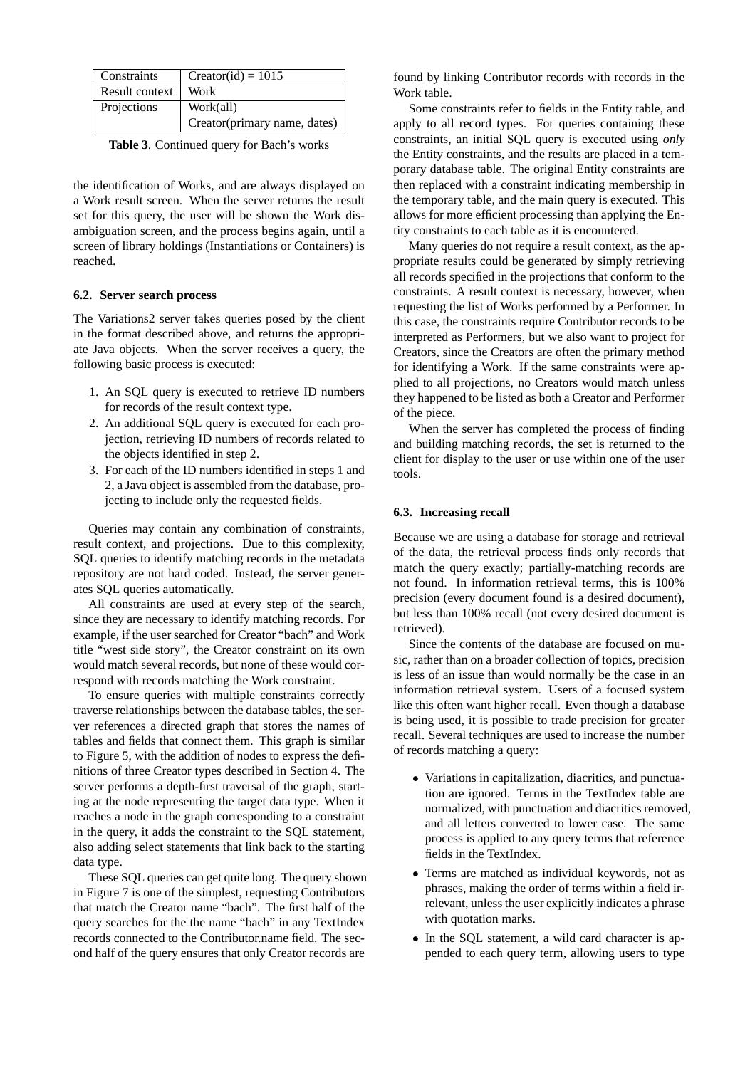| Constraints    | $Creator(id) = 1015$         |
|----------------|------------------------------|
| Result context | Work                         |
| Projections    | Work(all)                    |
|                | Creator(primary name, dates) |

**Table 3**. Continued query for Bach's works

the identification of Works, and are always displayed on a Work result screen. When the server returns the result set for this query, the user will be shown the Work disambiguation screen, and the process begins again, until a screen of library holdings (Instantiations or Containers) is reached.

### **6.2. Server search process**

The Variations2 server takes queries posed by the client in the format described above, and returns the appropriate Java objects. When the server receives a query, the following basic process is executed:

- 1. An SQL query is executed to retrieve ID numbers for records of the result context type.
- 2. An additional SQL query is executed for each projection, retrieving ID numbers of records related to the objects identified in step 2.
- 3. For each of the ID numbers identified in steps 1 and 2, a Java object is assembled from the database, projecting to include only the requested fields.

Queries may contain any combination of constraints, result context, and projections. Due to this complexity, SQL queries to identify matching records in the metadata repository are not hard coded. Instead, the server generates SQL queries automatically.

All constraints are used at every step of the search, since they are necessary to identify matching records. For example, if the user searched for Creator "bach" and Work title "west side story", the Creator constraint on its own would match several records, but none of these would correspond with records matching the Work constraint.

To ensure queries with multiple constraints correctly traverse relationships between the database tables, the server references a directed graph that stores the names of tables and fields that connect them. This graph is similar to Figure 5, with the addition of nodes to express the definitions of three Creator types described in Section 4. The server performs a depth-first traversal of the graph, starting at the node representing the target data type. When it reaches a node in the graph corresponding to a constraint in the query, it adds the constraint to the SQL statement, also adding select statements that link back to the starting data type.

These SQL queries can get quite long. The query shown in Figure 7 is one of the simplest, requesting Contributors that match the Creator name "bach". The first half of the query searches for the the name "bach" in any TextIndex records connected to the Contributor.name field. The second half of the query ensures that only Creator records are

found by linking Contributor records with records in the Work table.

Some constraints refer to fields in the Entity table, and apply to all record types. For queries containing these constraints, an initial SQL query is executed using *only* the Entity constraints, and the results are placed in a temporary database table. The original Entity constraints are then replaced with a constraint indicating membership in the temporary table, and the main query is executed. This allows for more efficient processing than applying the Entity constraints to each table as it is encountered.

Many queries do not require a result context, as the appropriate results could be generated by simply retrieving all records specified in the projections that conform to the constraints. A result context is necessary, however, when requesting the list of Works performed by a Performer. In this case, the constraints require Contributor records to be interpreted as Performers, but we also want to project for Creators, since the Creators are often the primary method for identifying a Work. If the same constraints were applied to all projections, no Creators would match unless they happened to be listed as both a Creator and Performer of the piece.

When the server has completed the process of finding and building matching records, the set is returned to the client for display to the user or use within one of the user tools.

#### **6.3. Increasing recall**

Because we are using a database for storage and retrieval of the data, the retrieval process finds only records that match the query exactly; partially-matching records are not found. In information retrieval terms, this is 100% precision (every document found is a desired document), but less than 100% recall (not every desired document is retrieved).

Since the contents of the database are focused on music, rather than on a broader collection of topics, precision is less of an issue than would normally be the case in an information retrieval system. Users of a focused system like this often want higher recall. Even though a database is being used, it is possible to trade precision for greater recall. Several techniques are used to increase the number of records matching a query:

- Variations in capitalization, diacritics, and punctuation are ignored. Terms in the TextIndex table are normalized, with punctuation and diacritics removed, and all letters converted to lower case. The same process is applied to any query terms that reference fields in the TextIndex.
- Terms are matched as individual keywords, not as phrases, making the order of terms within a field irrelevant, unless the user explicitly indicates a phrase with quotation marks.
- In the SQL statement, a wild card character is appended to each query term, allowing users to type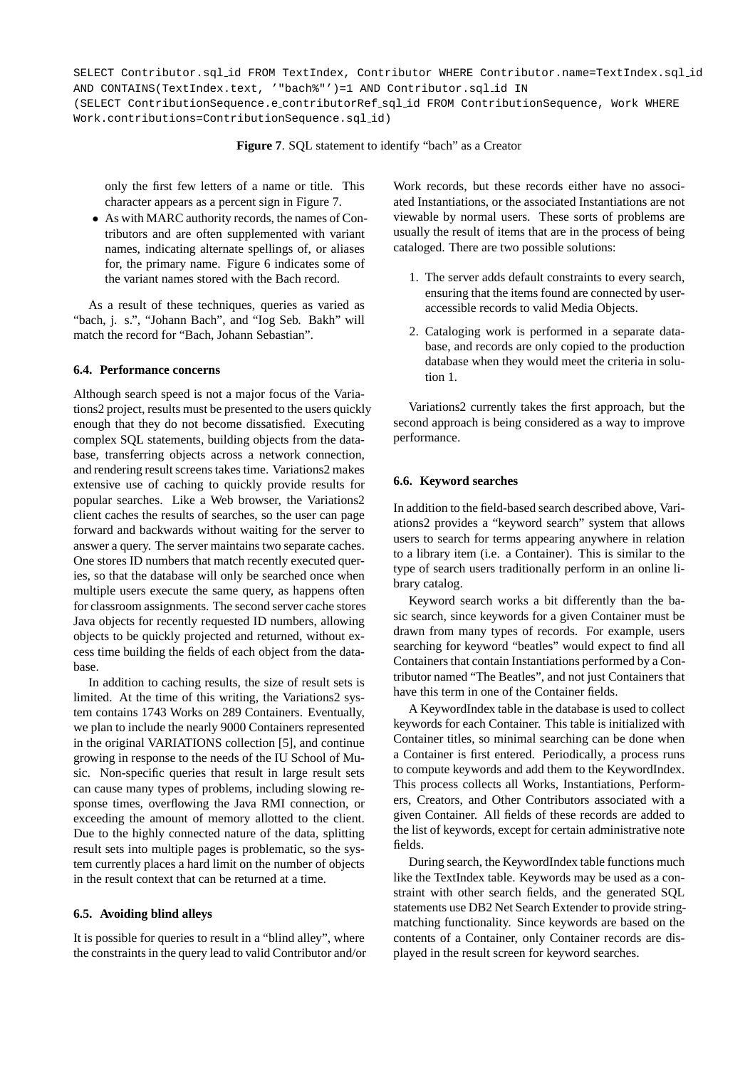SELECT Contributor.sql id FROM TextIndex, Contributor WHERE Contributor.name=TextIndex.sql id AND CONTAINS(TextIndex.text, '"bach%"')=1 AND Contributor.sql id IN (SELECT ContributionSequence.e contributorRef sql id FROM ContributionSequence, Work WHERE Work.contributions=ContributionSequence.sql id)

# **Figure 7**. SQL statement to identify "bach" as a Creator

only the first few letters of a name or title. This character appears as a percent sign in Figure 7.

• As with MARC authority records, the names of Contributors and are often supplemented with variant names, indicating alternate spellings of, or aliases for, the primary name. Figure 6 indicates some of the variant names stored with the Bach record.

As a result of these techniques, queries as varied as "bach, j. s.", "Johann Bach", and "Iog Seb. Bakh" will match the record for "Bach, Johann Sebastian".

## **6.4. Performance concerns**

Although search speed is not a major focus of the Variations2 project, results must be presented to the users quickly enough that they do not become dissatisfied. Executing complex SQL statements, building objects from the database, transferring objects across a network connection, and rendering result screens takes time. Variations2 makes extensive use of caching to quickly provide results for popular searches. Like a Web browser, the Variations2 client caches the results of searches, so the user can page forward and backwards without waiting for the server to answer a query. The server maintains two separate caches. One stores ID numbers that match recently executed queries, so that the database will only be searched once when multiple users execute the same query, as happens often for classroom assignments. The second server cache stores Java objects for recently requested ID numbers, allowing objects to be quickly projected and returned, without excess time building the fields of each object from the database.

In addition to caching results, the size of result sets is limited. At the time of this writing, the Variations2 system contains 1743 Works on 289 Containers. Eventually, we plan to include the nearly 9000 Containers represented in the original VARIATIONS collection [5], and continue growing in response to the needs of the IU School of Music. Non-specific queries that result in large result sets can cause many types of problems, including slowing response times, overflowing the Java RMI connection, or exceeding the amount of memory allotted to the client. Due to the highly connected nature of the data, splitting result sets into multiple pages is problematic, so the system currently places a hard limit on the number of objects in the result context that can be returned at a time.

#### **6.5. Avoiding blind alleys**

It is possible for queries to result in a "blind alley", where the constraints in the query lead to valid Contributor and/or Work records, but these records either have no associated Instantiations, or the associated Instantiations are not viewable by normal users. These sorts of problems are usually the result of items that are in the process of being cataloged. There are two possible solutions:

- 1. The server adds default constraints to every search, ensuring that the items found are connected by useraccessible records to valid Media Objects.
- 2. Cataloging work is performed in a separate database, and records are only copied to the production database when they would meet the criteria in solution 1.

Variations2 currently takes the first approach, but the second approach is being considered as a way to improve performance.

## **6.6. Keyword searches**

In addition to the field-based search described above, Variations2 provides a "keyword search" system that allows users to search for terms appearing anywhere in relation to a library item (i.e. a Container). This is similar to the type of search users traditionally perform in an online library catalog.

Keyword search works a bit differently than the basic search, since keywords for a given Container must be drawn from many types of records. For example, users searching for keyword "beatles" would expect to find all Containers that contain Instantiations performed by a Contributor named "The Beatles", and not just Containers that have this term in one of the Container fields.

A KeywordIndex table in the database is used to collect keywords for each Container. This table is initialized with Container titles, so minimal searching can be done when a Container is first entered. Periodically, a process runs to compute keywords and add them to the KeywordIndex. This process collects all Works, Instantiations, Performers, Creators, and Other Contributors associated with a given Container. All fields of these records are added to the list of keywords, except for certain administrative note fields.

During search, the KeywordIndex table functions much like the TextIndex table. Keywords may be used as a constraint with other search fields, and the generated SQL statements use DB2 Net Search Extender to provide stringmatching functionality. Since keywords are based on the contents of a Container, only Container records are displayed in the result screen for keyword searches.